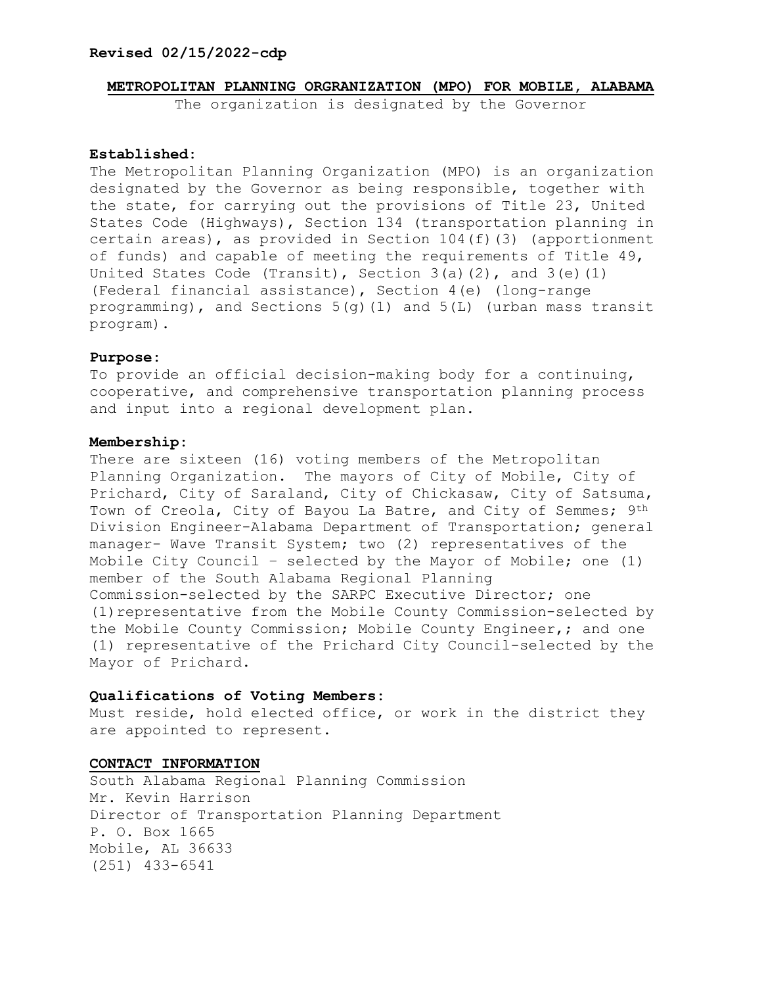#### **Revised 02/15/2022-cdp**

#### **METROPOLITAN PLANNING ORGRANIZATION (MPO) FOR MOBILE, ALABAMA**

The organization is designated by the Governor

#### **Established:**

The Metropolitan Planning Organization (MPO) is an organization designated by the Governor as being responsible, together with the state, for carrying out the provisions of Title 23, United States Code (Highways), Section 134 (transportation planning in certain areas), as provided in Section 104(f)(3) (apportionment of funds) and capable of meeting the requirements of Title 49, United States Code (Transit), Section 3(a)(2), and 3(e)(1) (Federal financial assistance), Section 4(e) (long-range programming), and Sections 5(g)(1) and 5(L) (urban mass transit program).

#### **Purpose:**

To provide an official decision-making body for a continuing, cooperative, and comprehensive transportation planning process and input into a regional development plan.

#### **Membership:**

There are sixteen (16) voting members of the Metropolitan Planning Organization. The mayors of City of Mobile, City of Prichard, City of Saraland, City of Chickasaw, City of Satsuma, Town of Creola, City of Bayou La Batre, and City of Semmes; 9th Division Engineer-Alabama Department of Transportation; general manager- Wave Transit System; two (2) representatives of the Mobile City Council – selected by the Mayor of Mobile; one (1) member of the South Alabama Regional Planning Commission-selected by the SARPC Executive Director; one (1)representative from the Mobile County Commission-selected by the Mobile County Commission; Mobile County Engineer,; and one (1) representative of the Prichard City Council-selected by the Mayor of Prichard.

#### **Qualifications of Voting Members:**

Must reside, hold elected office, or work in the district they are appointed to represent.

### **CONTACT INFORMATION**

South Alabama Regional Planning Commission Mr. Kevin Harrison Director of Transportation Planning Department P. O. Box 1665 Mobile, AL 36633 (251) 433-6541